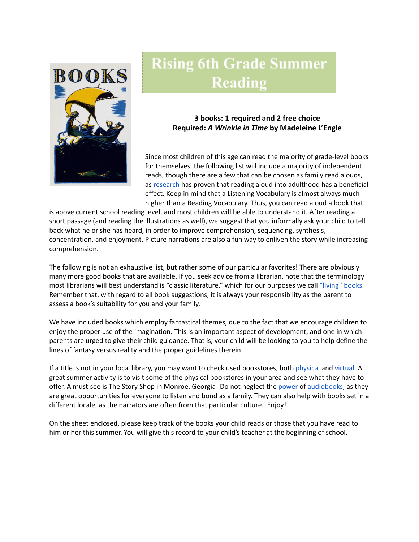

## **Rising 6th Grade Summer** Reading

## **3 books: 1 required and 2 free choice Required:** *A Wrinkle in Time* **by Madeleine L'Engle**

Since most children of this age can read the majority of grade-level books for themselves, the following list will include a majority of independent reads, though there are a few that can be chosen as family read alouds, as [research](https://www.greatschools.org/gk/articles/read-aloud-to-children/) has proven that reading aloud into adulthood has a beneficial effect. Keep in mind that a Listening Vocabulary is almost always much higher than a Reading Vocabulary. Thus, you can read aloud a book that

is above current school reading level, and most children will be able to understand it. After reading a short passage (and reading the illustrations as well), we suggest that you informally ask your child to tell back what he or she has heard, in order to improve comprehension, sequencing, synthesis, concentration, and enjoyment. Picture narrations are also a fun way to enliven the story while increasing comprehension.

The following is not an exhaustive list, but rather some of our particular favorites! There are obviously many more good books that are available. If you seek advice from a librarian, note that the terminology most librarians will best understand is "classic literature," which for our purposes we call ["living"](https://charlottemasonhome.com/2007/05/30/literature-by-grade/) books. Remember that, with regard to all book suggestions, it is always your responsibility as the parent to assess a book's suitability for you and your family.

We have included books which employ fantastical themes, due to the fact that we encourage children to enjoy the proper use of the imagination. This is an important aspect of development, and one in which parents are urged to give their child guidance. That is, your child will be looking to you to help define the lines of fantasy versus reality and the proper guidelines therein.

If a title is not in your local library, you may want to check used bookstores, both [physical](https://www.atlantaparent.com/top-kids-bookstores-in-atlanta/) and [virtual.](https://booksliced.com/books/here-are-the-20-best-websites-to-use-next-time-you-shop-for-paperback-and-hardcover-books-online/) A great summer activity is to visit some of the physical bookstores in your area and see what they have to offer. A must-see is The Story Shop in Monroe, Georgia! Do not neglect the [power](https://www.learningliftoff.com/free-audio-books-for-kids/) of [audiobooks](https://mashable.com/article/free-audiobooks/), as they are great opportunities for everyone to listen and bond as a family. They can also help with books set in a different locale, as the narrators are often from that particular culture. Enjoy!

On the sheet enclosed, please keep track of the books your child reads or those that you have read to him or her this summer. You will give this record to your child's teacher at the beginning of school.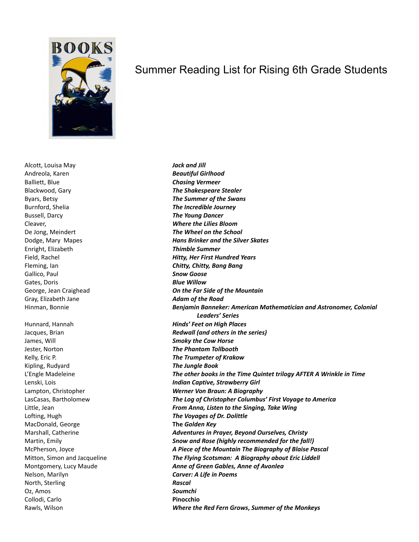

Alcott, Louisa May *Jack and Jill* Andreola, Karen *Beautiful Girlhood* Balliett, Blue *Chasing Vermeer* Burnford, Shelia *The Incredible Journey* Bussell, Darcy *The Young Dancer* Cleaver, *Where the Lilies Bloom* Enright, Elizabeth *Thimble Summer* Gallico, Paul *Snow Goose* Gates, Doris *Blue Willow* Gray, Elizabeth Jane *Adam of the Road*

James, Will *Smoky the Cow Horse* Jester, Norton *The Phantom Tollbooth* Kelly, Eric P. *The Trumpeter of Krakow* Kipling, Rudyard *The Jungle Book* Lofting, Hugh *The Voyages of Dr. Dolittle* MacDonald, George **The** *Golden Key* Nelson, Marilyn *Carver: A Life in Poems* North, Sterling *Rascal* Oz, Amos *Soumchi* Collodi, Carlo **Pinocchio**

## Summer Reading List for Rising 6th Grade Students

Blackwood, Gary *The Shakespeare Stealer* Byars, Betsy *The Summer of the Swans* De Jong, Meindert *The Wheel on the School* Dodge, Mary Mapes *Hans Brinker and the Silver Skates* Field, Rachel *Hitty, Her First Hundred Years* Fleming, Ian *Chitty, Chitty, Bang Bang* George, Jean Craighead *On the Far Side of the Mountain* Hinman, Bonnie *Benjamin Banneker: American Mathematician and Astronomer, Colonial Leaders' Series* Hunnard, Hannah *Hinds' Feet on High Places* Jacques, Brian *Redwall (and others in the series)* L'Engle Madeleine *The other books in the Time Quintet trilogy AFTER A Wrinkle in Time* Lenski, Lois *Indian Captive, Strawberry Girl* Lampton, Christopher *Werner Von Braun: A Biography* LasCasas, Bartholomew *The Log of Christopher Columbus' First Voyage to America* Little, Jean *From Anna, Listen to the Singing, Take Wing* Marshall, Catherine *Adventures in Prayer, Beyond Ourselves, Christy* Martin, Emily *Snow and Rose (highly recommended for the fall!)* McPherson, Joyce *A Piece of the Mountain The Biography of Blaise Pascal* Mitton, Simon and Jacqueline *The Flying Scotsman: A Biography about Eric Liddell* Montgomery, Lucy Maude *Anne of Green Gables, Anne of Avonlea* Rawls, Wilson *Where the Red Fern Grows***,** *Summer of the Monkeys*